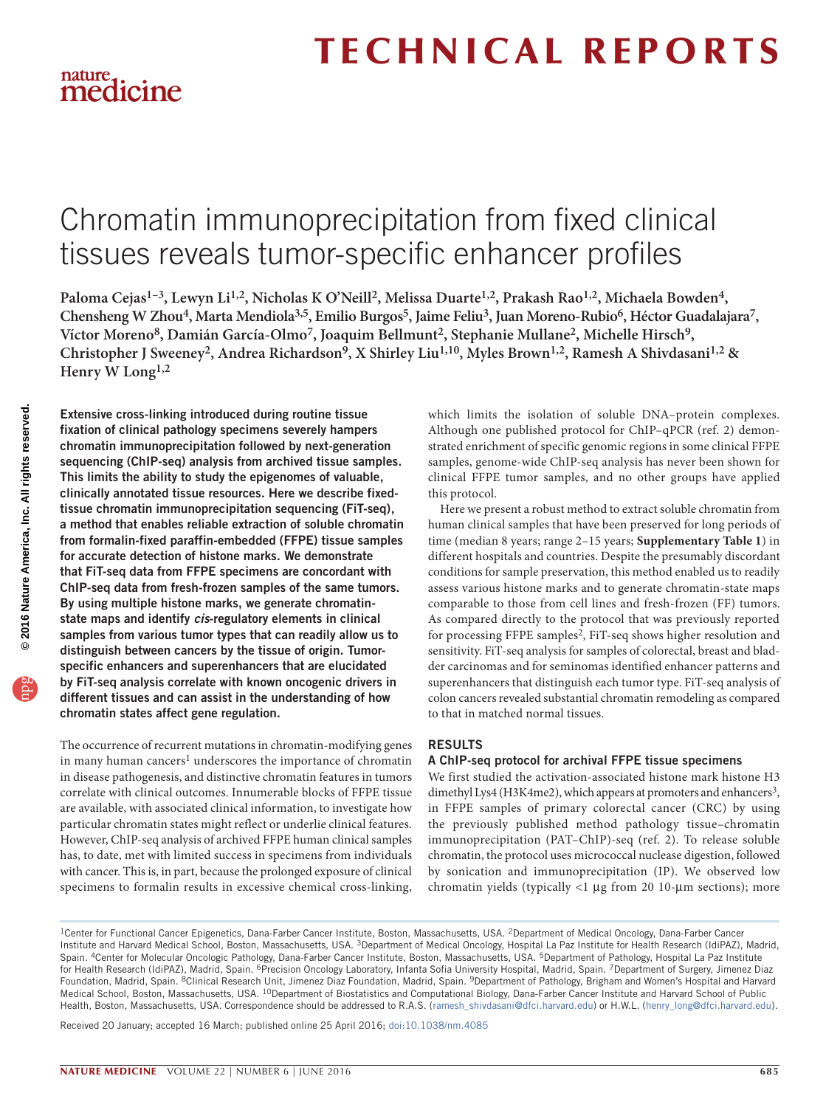# nature<br>medicine

## Chromatin immunoprecipitation from fixed clinical tissues reveals tumor-specific enhancer profiles

Paloma Cejas<sup>1–3</sup>, Lewyn Li<sup>1,2</sup>, Nicholas K O'Neill<sup>2</sup>, Melissa Duarte<sup>1,2</sup>, Prakash Rao<sup>1,2</sup>, Michaela Bowden<sup>4</sup>, **Chensheng W Zhou4, Marta Mendiola3,5, Emilio Burgos5, Jaime Feliu3, Juan Moreno-Rubio6, Héctor Guadalajara7,**  Víctor Moreno<sup>8</sup>, Damián García-Olmo<sup>7</sup>, Joaquim Bellmunt<sup>2</sup>, Stephanie Mullane<sup>2</sup>, Michelle Hirsch<sup>9</sup>, Christopher J Sweeney<sup>2</sup>, Andrea Richardson<sup>9</sup>, X Shirley Liu<sup>1,10</sup>, Myles Brown<sup>1,2</sup>, Ramesh A Shivdasani<sup>1,2</sup> & **Henry W Long1,2**

Extensive cross-linking introduced during routine tissue fixation of clinical pathology specimens severely hampers chromatin immunoprecipitation followed by next-generation sequencing (ChIP-seq) analysis from archived tissue samples. This limits the ability to study the epigenomes of valuable, clinically annotated tissue resources. Here we describe fixedtissue chromatin immunoprecipitation sequencing (FiT-seq), a method that enables reliable extraction of soluble chromatin from formalin-fixed paraffin-embedded (FFPE) tissue samples for accurate detection of histone marks. We demonstrate that FiT-seq data from FFPE specimens are concordant with ChIP-seq data from fresh-frozen samples of the same tumors. By using multiple histone marks, we generate chromatinstate maps and identify *cis*-regulatory elements in clinical samples from various tumor types that can readily allow us to distinguish between cancers by the tissue of origin. Tumorspecific enhancers and superenhancers that are elucidated by FiT-seq analysis correlate with known oncogenic drivers in different tissues and can assist in the understanding of how chromatin states affect gene regulation.

The occurrence of recurrent mutations in chromatin-modifying genes in many human cancers<sup>1</sup> underscores the importance of chromatin in disease pathogenesis, and distinctive chromatin features in tumors correlate with clinical outcomes. Innumerable blocks of FFPE tissue are available, with associated clinical information, to investigate how particular chromatin states might reflect or underlie clinical features. However, ChIP-seq analysis of archived FFPE human clinical samples has, to date, met with limited success in specimens from individuals with cancer. This is, in part, because the prolonged exposure of clinical specimens to formalin results in excessive chemical cross-linking,

which limits the isolation of soluble DNA–protein complexes. Although one published protocol for ChIP–qPCR (ref. [2](#page-5-1)) demonstrated enrichment of specific genomic regions in some clinical FFPE samples, genome-wide ChIP-seq analysis has never been shown for clinical FFPE tumor samples, and no other groups have applied this protocol.

Here we present a robust method to extract soluble chromatin from human clinical samples that have been preserved for long periods of time (median 8 years; range 2–15 years; **Supplementary Table 1**) in different hospitals and countries. Despite the presumably discordant conditions for sample preservation, this method enabled us to readily assess various histone marks and to generate chromatin-state maps comparable to those from cell lines and fresh-frozen (FF) tumors. As compared directly to the protocol that was previously reported for processing FFPE samples<sup>[2](#page-5-1)</sup>, FiT-seq shows higher resolution and sensitivity. FiT-seq analysis for samples of colorectal, breast and bladder carcinomas and for seminomas identified enhancer patterns and superenhancers that distinguish each tumor type. FiT-seq analysis of colon cancers revealed substantial chromatin remodeling as compared to that in matched normal tissues.

## RESULTS

## A ChIP-seq protocol for archival FFPE tissue specimens

We first studied the activation-associated histone mark histone H3 dimethyl Lys4 (H[3](#page-5-2)K4me2), which appears at promoters and enhancers<sup>3</sup>, in FFPE samples of primary colorectal cancer (CRC) by using the previously published method pathology tissue–chromatin immunoprecipitation (PAT–ChIP)-seq (ref. [2\)](#page-5-1). To release soluble chromatin, the protocol uses micrococcal nuclease digestion, followed by sonication and immunoprecipitation (IP). We observed low chromatin yields (typically <1 µg from 20 10-µm sections); more

<sup>1</sup>Center for Functional Cancer Epigenetics, Dana-Farber Cancer Institute, Boston, Massachusetts, USA. <sup>2</sup>Department of Medical Oncology, Dana-Farber Cancer Institute and Harvard Medical School, Boston, Massachusetts, USA. <sup>3</sup>Department of Medical Oncology, Hospital La Paz Institute for Health Research (IdiPAZ), Madrid, Spain. <sup>4</sup>Center for Molecular Oncologic Pathology, Dana-Farber Cancer Institute, Boston, Massachusetts, USA. <sup>5</sup>Department of Pathology, Hospital La Paz Institute for Health Research (IdiPAZ), Madrid, Spain. <sup>6</sup>Precision Oncology Laboratory, Infanta Sofia University Hospital, Madrid, Spain. <sup>7</sup>Department of Surgery, Jimenez Diaz Foundation, Madrid, Spain. <sup>8</sup>Clinical Research Unit, Jimenez Diaz Foundation, Madrid, Spain. <sup>9</sup>Department of Pathology, Brigham and Women's Hospital and Harvard Medical School, Boston, Massachusetts, USA. 10Department of Biostatistics and Computational Biology, Dana-Farber Cancer Institute and Harvard School of Public Health, Boston, Massachusetts, USA. Correspondence should be addressed to R.A.S. (ramesh\_shivdasani@dfci.harvard.edu) or H.W.L. (henry\_long@dfci.harvard.edu).

Received 20 January; accepted 16 March; published online 25 April 2016; [doi:10.1038/nm.4085](http://dx.doi.org/10.1038/nm.4085)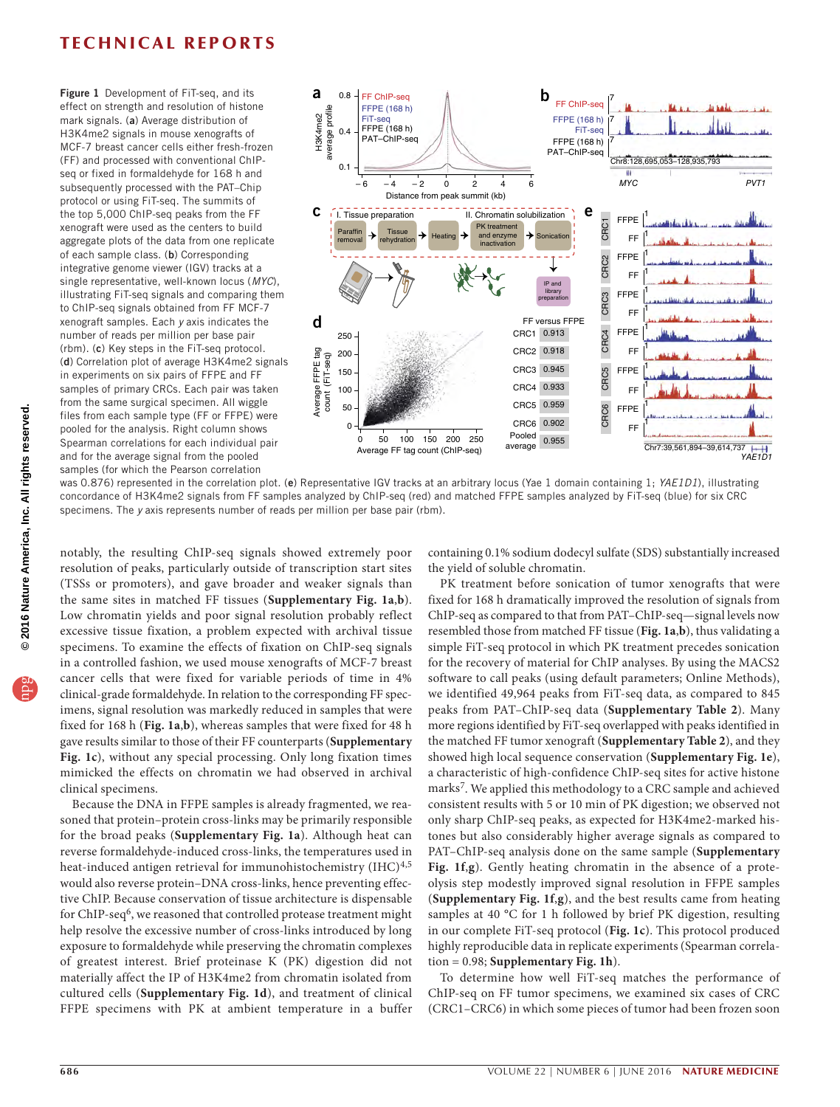<span id="page-1-0"></span>Figure 1 Development of FiT-seq, and its effect on strength and resolution of histone mark signals. (a) Average distribution of H3K4me2 signals in mouse xenografts of MCF-7 breast cancer cells either fresh-frozen (FF) and processed with conventional ChIPseq or fixed in formaldehyde for 168 h and subsequently processed with the PAT–Chip protocol or using FiT-seq. The summits of the top 5,000 ChIP-seq peaks from the FF xenograft were used as the centers to build aggregate plots of the data from one replicate of each sample class. (b) Corresponding integrative genome viewer (IGV) tracks at a single representative, well-known locus (*MYC*), illustrating FiT-seq signals and comparing them to ChIP-seq signals obtained from FF MCF-7 xenograft samples. Each *y* axis indicates the number of reads per million per base pair (rbm). (c) Key steps in the FiT-seq protocol. (d) Correlation plot of average H3K4me2 signals in experiments on six pairs of FFPE and FF samples of primary CRCs. Each pair was taken from the same surgical specimen. All wiggle files from each sample type (FF or FFPE) were pooled for the analysis. Right column shows Spearman correlations for each individual pair and for the average signal from the pooled samples (for which the Pearson correlation



was 0.876) represented in the correlation plot. (e) Representative IGV tracks at an arbitrary locus (Yae 1 domain containing 1; *YAE1D1*), illustrating concordance of H3K4me2 signals from FF samples analyzed by ChIP-seq (red) and matched FFPE samples analyzed by FiT-seq (blue) for six CRC specimens. The *y* axis represents number of reads per million per base pair (rbm).

notably, the resulting ChIP-seq signals showed extremely poor resolution of peaks, particularly outside of transcription start sites (TSSs or promoters), and gave broader and weaker signals than the same sites in matched FF tissues (**Supplementary Fig. 1a**,**b**). Low chromatin yields and poor signal resolution probably reflect excessive tissue fixation, a problem expected with archival tissue specimens. To examine the effects of fixation on ChIP-seq signals in a controlled fashion, we used mouse xenografts of MCF-7 breast cancer cells that were fixed for variable periods of time in 4% clinical-grade formaldehyde. In relation to the corresponding FF specimens, signal resolution was markedly reduced in samples that were fixed for 168 h (**[Fig. 1a](#page-1-0)**,**b**), whereas samples that were fixed for 48 h gave results similar to those of their FF counterparts (**Supplementary Fig. 1c**), without any special processing. Only long fixation times mimicked the effects on chromatin we had observed in archival clinical specimens.

Because the DNA in FFPE samples is already fragmented, we reasoned that protein–protein cross-links may be primarily responsible for the broad peaks (**Supplementary Fig. 1a**). Although heat can reverse formaldehyde-induced cross-links, the temperatures used in heat-induced antigen retrieval for immunohistochemistry (IHC)<sup>[4,](#page-5-3)[5](#page-5-4)</sup> would also reverse protein–DNA cross-links, hence preventing effective ChIP. Because conservation of tissue architecture is dispensable for ChIP-seq<sup>6</sup>, we reasoned that controlled protease treatment might help resolve the excessive number of cross-links introduced by long exposure to formaldehyde while preserving the chromatin complexes of greatest interest. Brief proteinase K (PK) digestion did not materially affect the IP of H3K4me2 from chromatin isolated from cultured cells (**Supplementary Fig. 1d**), and treatment of clinical FFPE specimens with PK at ambient temperature in a buffer containing 0.1% sodium dodecyl sulfate (SDS) substantially increased the yield of soluble chromatin.

PK treatment before sonication of tumor xenografts that were fixed for 168 h dramatically improved the resolution of signals from ChIP-seq as compared to that from PAT–ChIP-seq—signal levels now resembled those from matched FF tissue (**[Fig. 1a](#page-1-0)**,**b**), thus validating a simple FiT-seq protocol in which PK treatment precedes sonication for the recovery of material for ChIP analyses. By using the MACS2 software to call peaks (using default parameters; Online Methods), we identified 49,964 peaks from FiT-seq data, as compared to 845 peaks from PAT–ChIP-seq data (**Supplementary Table 2**). Many more regions identified by FiT-seq overlapped with peaks identified in the matched FF tumor xenograft (**Supplementary Table 2**), and they showed high local sequence conservation (**Supplementary Fig. 1e**), a characteristic of high-confidence ChIP-seq sites for active histone marks[7.](#page-5-6) We applied this methodology to a CRC sample and achieved consistent results with 5 or 10 min of PK digestion; we observed not only sharp ChIP-seq peaks, as expected for H3K4me2-marked histones but also considerably higher average signals as compared to PAT–ChIP-seq analysis done on the same sample (**Supplementary Fig. 1f**,**g**). Gently heating chromatin in the absence of a proteolysis step modestly improved signal resolution in FFPE samples (**Supplementary Fig. 1f**,**g**), and the best results came from heating samples at 40 °C for 1 h followed by brief PK digestion, resulting in our complete FiT-seq protocol (**[Fig. 1c](#page-1-0)**). This protocol produced highly reproducible data in replicate experiments (Spearman correlation = 0.98; **Supplementary Fig. 1h**).

To determine how well FiT-seq matches the performance of ChIP-seq on FF tumor specimens, we examined six cases of CRC (CRC1–CRC6) in which some pieces of tumor had been frozen soon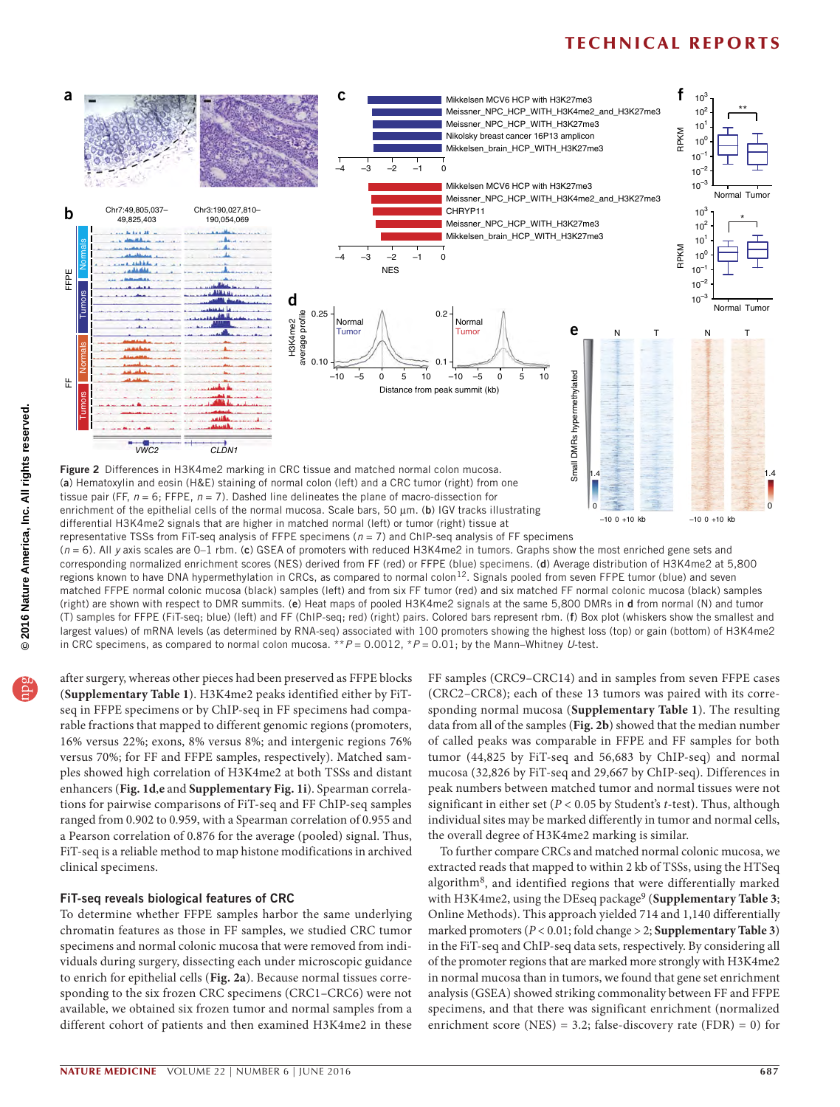

<span id="page-2-0"></span>differential H3K4me2 signals that are higher in matched normal (left) or tumor (right) tissue at representative TSSs from FiT-seq analysis of FFPE specimens (*n* = 7) and ChIP-seq analysis of FF specimens (*n* = 6). All *y* axis scales are 0–1 rbm. (c) GSEA of promoters with reduced H3K4me2 in tumors. Graphs show the most enriched gene sets and corresponding normalized enrichment scores (NES) derived from FF (red) or FFPE (blue) specimens. (d) Average distribution of H3K4me2 at 5,800 regions known to have DNA hypermethylation in CRCs, as compared to normal colon<sup>[12](#page-5-9)</sup>. Signals pooled from seven FFPE tumor (blue) and seven matched FFPE normal colonic mucosa (black) samples (left) and from six FF tumor (red) and six matched FF normal colonic mucosa (black) samples (right) are shown with respect to DMR summits. (e) Heat maps of pooled H3K4me2 signals at the same 5,800 DMRs in d from normal (N) and tumor (T) samples for FFPE (FiT-seq; blue) (left) and FF (ChIP-seq; red) (right) pairs. Colored bars represent rbm. (f) Box plot (whiskers show the smallest and largest values) of mRNA levels (as determined by RNA-seq) associated with 100 promoters showing the highest loss (top) or gain (bottom) of H3K4me2 in CRC specimens, as compared to normal colon mucosa.  $*P = 0.0012$ ,  $*P = 0.01$ ; by the Mann–Whitney *U*-test.

after surgery, whereas other pieces had been preserved as FFPE blocks (**Supplementary Table 1**). H3K4me2 peaks identified either by FiTseq in FFPE specimens or by ChIP-seq in FF specimens had comparable fractions that mapped to different genomic regions (promoters, 16% versus 22%; exons, 8% versus 8%; and intergenic regions 76% versus 70%; for FF and FFPE samples, respectively). Matched samples showed high correlation of H3K4me2 at both TSSs and distant enhancers (**[Fig. 1d](#page-1-0)**,**e** and **Supplementary Fig. 1i**). Spearman correlations for pairwise comparisons of FiT-seq and FF ChIP-seq samples ranged from 0.902 to 0.959, with a Spearman correlation of 0.955 and a Pearson correlation of 0.876 for the average (pooled) signal. Thus, FiT-seq is a reliable method to map histone modifications in archived clinical specimens.

### FiT-seq reveals biological features of CRC

To determine whether FFPE samples harbor the same underlying chromatin features as those in FF samples, we studied CRC tumor specimens and normal colonic mucosa that were removed from individuals during surgery, dissecting each under microscopic guidance to enrich for epithelial cells (**[Fig. 2a](#page-2-0)**). Because normal tissues corresponding to the six frozen CRC specimens (CRC1–CRC6) were not available, we obtained six frozen tumor and normal samples from a different cohort of patients and then examined H3K4me2 in these FF samples (CRC9–CRC14) and in samples from seven FFPE cases (CRC2–CRC8); each of these 13 tumors was paired with its corresponding normal mucosa (**Supplementary Table 1**). The resulting data from all of the samples (**[Fig. 2b](#page-2-0)**) showed that the median number of called peaks was comparable in FFPE and FF samples for both tumor (44,825 by FiT-seq and 56,683 by ChIP-seq) and normal mucosa (32,826 by FiT-seq and 29,667 by ChIP-seq). Differences in peak numbers between matched tumor and normal tissues were not significant in either set (*P* < 0.05 by Student's *t*-test). Thus, although individual sites may be marked differently in tumor and normal cells, the overall degree of H3K4me2 marking is similar.

To further compare CRCs and matched normal colonic mucosa, we extracted reads that mapped to within 2 kb of TSSs, using the HTSeq algorithm<sup>8</sup>, and identified regions that were differentially marked with H3K4me2, using the DEseq package<sup>9</sup> (Supplementary Table 3; Online Methods). This approach yielded 714 and 1,140 differentially marked promoters (*P* < 0.01; fold change > 2; **Supplementary Table 3**) in the FiT-seq and ChIP-seq data sets, respectively. By considering all of the promoter regions that are marked more strongly with H3K4me2 in normal mucosa than in tumors, we found that gene set enrichment analysis (GSEA) showed striking commonality between FF and FFPE specimens, and that there was significant enrichment (normalized enrichment score (NES) = 3.2; false-discovery rate (FDR) = 0) for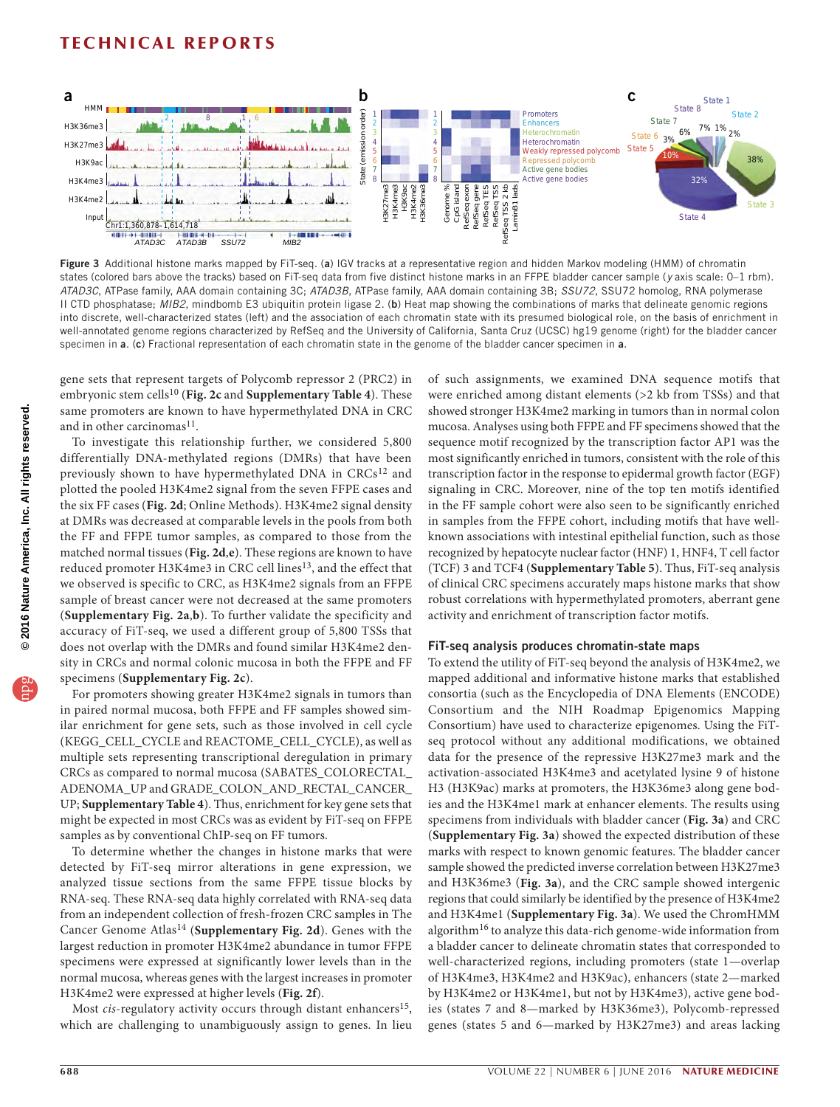

<span id="page-3-0"></span>Figure 3 Additional histone marks mapped by FiT-seq. (a) IGV tracks at a representative region and hidden Markov modeling (HMM) of chromatin states (colored bars above the tracks) based on FiT-seq data from five distinct histone marks in an FFPE bladder cancer sample (*y* axis scale: 0–1 rbm). *ATAD3C*, ATPase family, AAA domain containing 3C; *ATAD3B*, ATPase family, AAA domain containing 3B; *SSU72*, SSU72 homolog, RNA polymerase II CTD phosphatase; *MIB2*, mindbomb E3 ubiquitin protein ligase 2. (b) Heat map showing the combinations of marks that delineate genomic regions into discrete, well-characterized states (left) and the association of each chromatin state with its presumed biological role, on the basis of enrichment in well-annotated genome regions characterized by RefSeq and the University of California, Santa Cruz (UCSC) hg19 genome (right) for the bladder cancer specimen in a. (c) Fractional representation of each chromatin state in the genome of the bladder cancer specimen in a.

gene sets that represent targets of Polycomb repressor 2 (PRC2) in embryonic stem cells<sup>[10](#page-5-10)</sup> ([Fig. 2c](#page-2-0) and Supplementary Table 4). These same promoters are known to have hypermethylated DNA in CRC and in other carcinomas<sup>[11](#page-5-11)</sup>.

To investigate this relationship further, we considered 5,800 differentially DNA-methylated regions (DMRs) that have been previously shown to have hypermethylated DNA in CRCs<sup>[12](#page-5-9)</sup> and plotted the pooled H3K4me2 signal from the seven FFPE cases and the six FF cases (**[Fig. 2d](#page-2-0)**; Online Methods). H3K4me2 signal density at DMRs was decreased at comparable levels in the pools from both the FF and FFPE tumor samples, as compared to those from the matched normal tissues (**[Fig. 2d](#page-2-0)**,**e**). These regions are known to have reduced promoter H3K4me3 in CRC cell lines<sup>[13](#page-6-0)</sup>, and the effect that we observed is specific to CRC, as H3K4me2 signals from an FFPE sample of breast cancer were not decreased at the same promoters (**Supplementary Fig. 2a**,**b**). To further validate the specificity and accuracy of FiT-seq, we used a different group of 5,800 TSSs that does not overlap with the DMRs and found similar H3K4me2 density in CRCs and normal colonic mucosa in both the FFPE and FF specimens (**Supplementary Fig. 2c**).

For promoters showing greater H3K4me2 signals in tumors than in paired normal mucosa, both FFPE and FF samples showed similar enrichment for gene sets, such as those involved in cell cycle (KEGG\_CELL\_CYCLE and REACTOME\_CELL\_CYCLE), as well as multiple sets representing transcriptional deregulation in primary CRCs as compared to normal mucosa (SABATES\_COLORECTAL\_ ADENOMA\_UP and GRADE\_COLON\_AND\_RECTAL\_CANCER\_ UP; **Supplementary Table 4**). Thus, enrichment for key gene sets that might be expected in most CRCs was as evident by FiT-seq on FFPE samples as by conventional ChIP-seq on FF tumors.

To determine whether the changes in histone marks that were detected by FiT-seq mirror alterations in gene expression, we analyzed tissue sections from the same FFPE tissue blocks by RNA-seq. These RNA-seq data highly correlated with RNA-seq data from an independent collection of fresh-frozen CRC samples in The Cancer Genome Atlas[14](#page-6-1) (**Supplementary Fig. 2d**). Genes with the largest reduction in promoter H3K4me2 abundance in tumor FFPE specimens were expressed at significantly lower levels than in the normal mucosa, whereas genes with the largest increases in promoter H3K4me2 were expressed at higher levels (**[Fig. 2f](#page-2-0)**).

Most *cis*-regulatory activity occurs through distant enhancers<sup>[15](#page-6-2)</sup>, which are challenging to unambiguously assign to genes. In lieu of such assignments, we examined DNA sequence motifs that were enriched among distant elements (>2 kb from TSSs) and that showed stronger H3K4me2 marking in tumors than in normal colon mucosa. Analyses using both FFPE and FF specimens showed that the sequence motif recognized by the transcription factor AP1 was the most significantly enriched in tumors, consistent with the role of this transcription factor in the response to epidermal growth factor (EGF) signaling in CRC. Moreover, nine of the top ten motifs identified in the FF sample cohort were also seen to be significantly enriched in samples from the FFPE cohort, including motifs that have wellknown associations with intestinal epithelial function, such as those recognized by hepatocyte nuclear factor (HNF) 1, HNF4, T cell factor (TCF) 3 and TCF4 (**Supplementary Table 5**). Thus, FiT-seq analysis of clinical CRC specimens accurately maps histone marks that show robust correlations with hypermethylated promoters, aberrant gene activity and enrichment of transcription factor motifs.

### FiT-seq analysis produces chromatin-state maps

To extend the utility of FiT-seq beyond the analysis of H3K4me2, we mapped additional and informative histone marks that established consortia (such as the Encyclopedia of DNA Elements (ENCODE) Consortium and the NIH Roadmap Epigenomics Mapping Consortium) have used to characterize epigenomes. Using the FiTseq protocol without any additional modifications, we obtained data for the presence of the repressive H3K27me3 mark and the activation-associated H3K4me3 and acetylated lysine 9 of histone H3 (H3K9ac) marks at promoters, the H3K36me3 along gene bodies and the H3K4me1 mark at enhancer elements. The results using specimens from individuals with bladder cancer (**[Fig. 3a](#page-3-0)**) and CRC (**Supplementary Fig. 3a**) showed the expected distribution of these marks with respect to known genomic features. The bladder cancer sample showed the predicted inverse correlation between H3K27me3 and H3K36me3 (**[Fig. 3a](#page-3-0)**), and the CRC sample showed intergenic regions that could similarly be identified by the presence of H3K4me2 and H3K4me1 (**Supplementary Fig. 3a**). We used the ChromHMM algorithm<sup>16</sup> to analyze this data-rich genome-wide information from a bladder cancer to delineate chromatin states that corresponded to well-characterized regions, including promoters (state 1—overlap of H3K4me3, H3K4me2 and H3K9ac), enhancers (state 2—marked by H3K4me2 or H3K4me1, but not by H3K4me3), active gene bodies (states 7 and 8—marked by H3K36me3), Polycomb-repressed genes (states 5 and 6—marked by H3K27me3) and areas lacking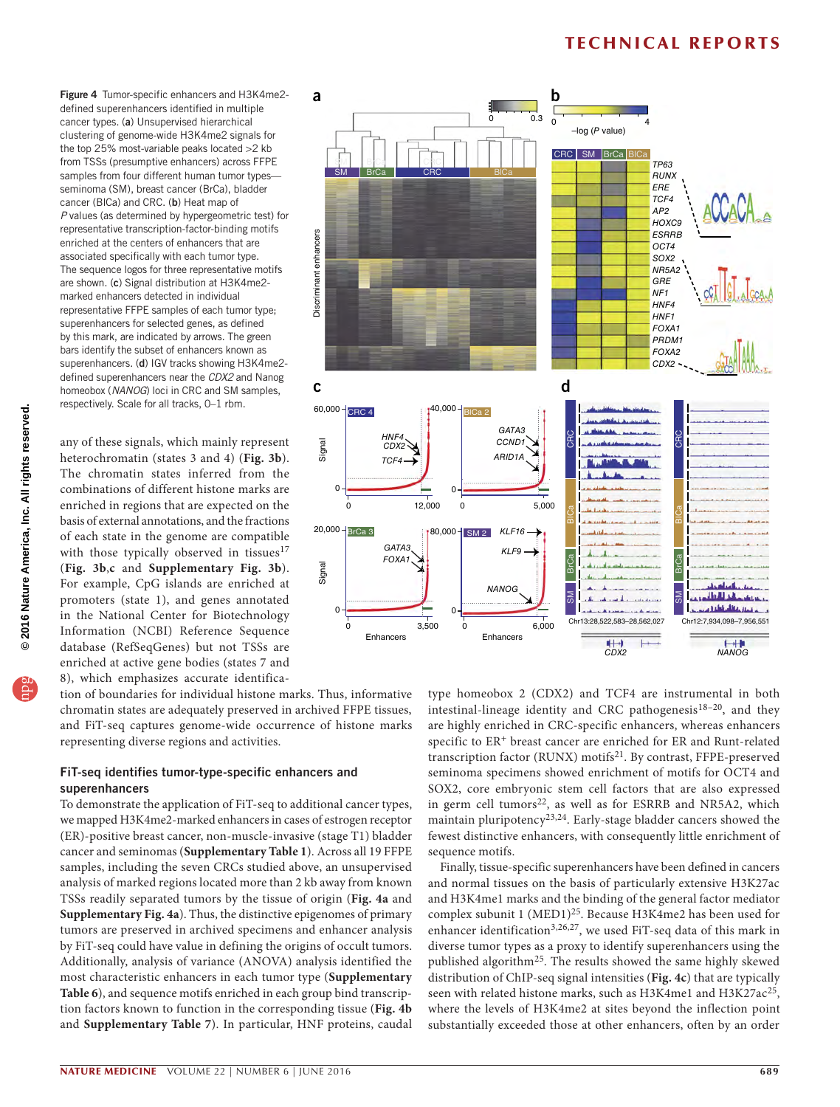© 2016 Nature America, Inc. All rights reserved. npg **© 2016 Nature America, Inc. All rights reserved.**

<span id="page-4-0"></span>Figure 4 Tumor-specific enhancers and H3K4me2 defined superenhancers identified in multiple cancer types. (a) Unsupervised hierarchical clustering of genome-wide H3K4me2 signals for the top 25% most-variable peaks located >2 kb from TSSs (presumptive enhancers) across FFPE samples from four different human tumor types seminoma (SM), breast cancer (BrCa), bladder cancer (BlCa) and CRC. (b) Heat map of *P* values (as determined by hypergeometric test) for representative transcription-factor-binding motifs enriched at the centers of enhancers that are associated specifically with each tumor type. The sequence logos for three representative motifs are shown. (c) Signal distribution at H3K4me2 marked enhancers detected in individual representative FFPE samples of each tumor type; superenhancers for selected genes, as defined by this mark, are indicated by arrows. The green bars identify the subset of enhancers known as superenhancers. (d) IGV tracks showing H3K4me2defined superenhancers near the *CDX2* and Nanog homeobox (*NANOG*) loci in CRC and SM samples, respectively. Scale for all tracks, 0–1 rbm.

any of these signals, which mainly represent heterochromatin (states 3 and 4) (**[Fig. 3b](#page-3-0)**). The chromatin states inferred from the combinations of different histone marks are enriched in regions that are expected on the basis of external annotations, and the fractions of each state in the genome are compatible with those typically observed in tissues<sup>[17](#page-6-4)</sup> (**[Fig. 3b](#page-3-0)**,**c** and **Supplementary Fig. 3b**). For example, CpG islands are enriched at promoters (state 1), and genes annotated in the National Center for Biotechnology Information (NCBI) Reference Sequence database (RefSeqGenes) but not TSSs are enriched at active gene bodies (states 7 and 8), which emphasizes accurate identifica-

tion of boundaries for individual histone marks. Thus, informative chromatin states are adequately preserved in archived FFPE tissues, and FiT-seq captures genome-wide occurrence of histone marks representing diverse regions and activities.

## FiT-seq identifies tumor-type-specific enhancers and superenhancers

To demonstrate the application of FiT-seq to additional cancer types, we mapped H3K4me2-marked enhancers in cases of estrogen receptor (ER)-positive breast cancer, non-muscle-invasive (stage T1) bladder cancer and seminomas (**Supplementary Table 1**). Across all 19 FFPE samples, including the seven CRCs studied above, an unsupervised analysis of marked regions located more than 2 kb away from known TSSs readily separated tumors by the tissue of origin (**[Fig. 4a](#page-4-0)** and **Supplementary Fig. 4a**). Thus, the distinctive epigenomes of primary tumors are preserved in archived specimens and enhancer analysis by FiT-seq could have value in defining the origins of occult tumors. Additionally, analysis of variance (ANOVA) analysis identified the most characteristic enhancers in each tumor type (**Supplementary Table 6**), and sequence motifs enriched in each group bind transcription factors known to function in the corresponding tissue (**[Fig. 4b](#page-4-0)** and **Supplementary Table 7**). In particular, HNF proteins, caudal



type homeobox 2 (CDX2) and TCF4 are instrumental in both intestinal-lineage identity and CRC pathogenesis $18-20$ , and they are highly enriched in CRC-specific enhancers, whereas enhancers specific to ER<sup>+</sup> breast cancer are enriched for ER and Runt-related transcription factor (RUNX) motifs<sup>[21](#page-6-7)</sup>. By contrast, FFPE-preserved seminoma specimens showed enrichment of motifs for OCT4 and SOX2, core embryonic stem cell factors that are also expressed in germ cell tumors $^{22}$ , as well as for ESRRB and NR5A2, which maintain pluripotency<sup>[23,](#page-6-9)24</sup>. Early-stage bladder cancers showed the fewest distinctive enhancers, with consequently little enrichment of sequence motifs.

Finally, tissue-specific superenhancers have been defined in cancers and normal tissues on the basis of particularly extensive H3K27ac and H3K4me1 marks and the binding of the general factor mediator complex subunit 1 (MED1)[25.](#page-6-11) Because H3K4me2 has been used for enhancer identification<sup>[3,](#page-5-2)[26,](#page-6-12)27</sup>, we used FiT-seq data of this mark in diverse tumor types as a proxy to identify superenhancers using the published algorithm[25.](#page-6-11) The results showed the same highly skewed distribution of ChIP-seq signal intensities (**[Fig. 4c](#page-4-0)**) that are typically seen with related histone marks, such as H3K4me1 and H3K27ac<sup>[25](#page-6-11)</sup>, where the levels of H3K4me2 at sites beyond the inflection point substantially exceeded those at other enhancers, often by an order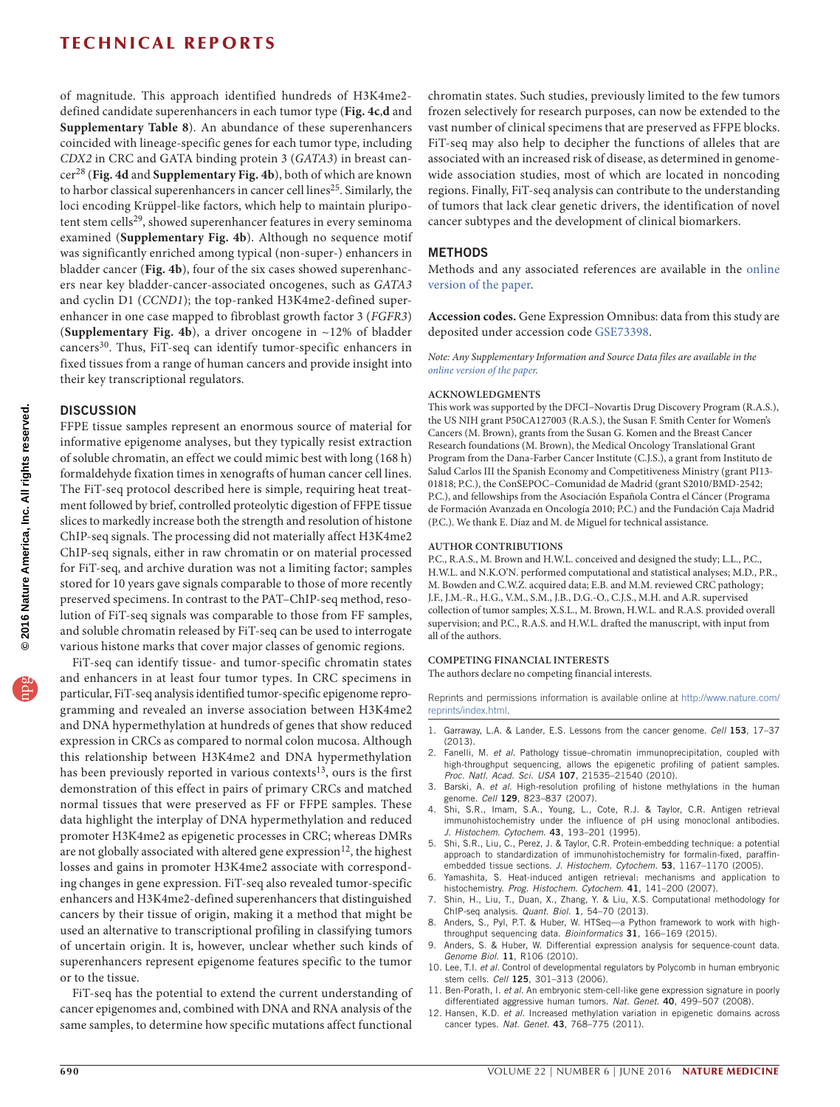of magnitude. This approach identified hundreds of H3K4me2 defined candidate superenhancers in each tumor type (**[Fig. 4c](#page-4-0)**,**d** and **Supplementary Table 8**). An abundance of these superenhancers coincided with lineage-specific genes for each tumor type, including *CDX2* in CRC and GATA binding protein 3 (*GATA3*) in breast cancer[28](#page-6-14) (**[Fig. 4d](#page-4-0)** and **Supplementary Fig. 4b**), both of which are known to harbor classical superenhancers in cancer cell lines<sup>[25](#page-6-11)</sup>. Similarly, the loci encoding Krüppel-like factors, which help to maintain pluripotent stem cells<sup>29</sup>, showed superenhancer features in every seminoma examined (**Supplementary Fig. 4b**). Although no sequence motif was significantly enriched among typical (non-super-) enhancers in bladder cancer (**[Fig. 4b](#page-4-0)**), four of the six cases showed superenhancers near key bladder-cancer-associated oncogenes, such as *GATA3* and cyclin D1 (*CCND1*); the top-ranked H3K4me2-defined superenhancer in one case mapped to fibroblast growth factor 3 (*FGFR3*) (**Supplementary Fig. 4b**), a driver oncogene in ~12% of bladder cancers<sup>30</sup>. Thus, FiT-seq can identify tumor-specific enhancers in fixed tissues from a range of human cancers and provide insight into their key transcriptional regulators.

## **DISCUSSION**

FFPE tissue samples represent an enormous source of material for informative epigenome analyses, but they typically resist extraction of soluble chromatin, an effect we could mimic best with long (168 h) formaldehyde fixation times in xenografts of human cancer cell lines. The FiT-seq protocol described here is simple, requiring heat treatment followed by brief, controlled proteolytic digestion of FFPE tissue slices to markedly increase both the strength and resolution of histone ChIP-seq signals. The processing did not materially affect H3K4me2 ChIP-seq signals, either in raw chromatin or on material processed for FiT-seq, and archive duration was not a limiting factor; samples stored for 10 years gave signals comparable to those of more recently preserved specimens. In contrast to the PAT–ChIP-seq method, resolution of FiT-seq signals was comparable to those from FF samples, and soluble chromatin released by FiT-seq can be used to interrogate various histone marks that cover major classes of genomic regions.

FiT-seq can identify tissue- and tumor-specific chromatin states and enhancers in at least four tumor types. In CRC specimens in particular, FiT-seq analysis identified tumor-specific epigenome reprogramming and revealed an inverse association between H3K4me2 and DNA hypermethylation at hundreds of genes that show reduced expression in CRCs as compared to normal colon mucosa. Although this relationship between H3K4me2 and DNA hypermethylation has been previously reported in various contexts<sup>[13](#page-6-0)</sup>, ours is the first demonstration of this effect in pairs of primary CRCs and matched normal tissues that were preserved as FF or FFPE samples. These data highlight the interplay of DNA hypermethylation and reduced promoter H3K4me2 as epigenetic processes in CRC; whereas DMRs are not globally associated with altered gene  $expression<sup>12</sup>$ , the highest losses and gains in promoter H3K4me2 associate with corresponding changes in gene expression. FiT-seq also revealed tumor-specific enhancers and H3K4me2-defined superenhancers that distinguished cancers by their tissue of origin, making it a method that might be used an alternative to transcriptional profiling in classifying tumors of uncertain origin. It is, however, unclear whether such kinds of superenhancers represent epigenome features specific to the tumor or to the tissue.

FiT-seq has the potential to extend the current understanding of cancer epigenomes and, combined with DNA and RNA analysis of the same samples, to determine how specific mutations affect functional

chromatin states. Such studies, previously limited to the few tumors frozen selectively for research purposes, can now be extended to the vast number of clinical specimens that are preserved as FFPE blocks. FiT-seq may also help to decipher the functions of alleles that are associated with an increased risk of disease, as determined in genomewide association studies, most of which are located in noncoding regions. Finally, FiT-seq analysis can contribute to the understanding of tumors that lack clear genetic drivers, the identification of novel cancer subtypes and the development of clinical biomarkers.

## **METHODS**

Methods and any associated references are available in the [online](http://dx.doi.org/10.1038/nm.4085) [version](http://dx.doi.org/10.1038/nm.4085) of the paper.

**Accession codes.** Gene Expression Omnibus: data from this study are deposited under accession code [GSE73398.](http://www.ncbi.nlm.nih.gov/geo/query/acc.cgi?acc=GSE73398)

*Note: Any Supplementary Information and Source Data files are available in the online [version](http://dx.doi.org/10.1038/nm.4085) of the paper.*

#### **Acknowledgments**

This work was supported by the DFCI–Novartis Drug Discovery Program (R.A.S.), the US NIH grant P50CA127003 (R.A.S.), the Susan F. Smith Center for Women's Cancers (M. Brown), grants from the Susan G. Komen and the Breast Cancer Research foundations (M. Brown), the Medical Oncology Translational Grant Program from the Dana-Farber Cancer Institute (C.J.S.), a grant from Instituto de Salud Carlos III the Spanish Economy and Competitiveness Ministry (grant PI13- 01818; P.C.), the ConSEPOC–Comunidad de Madrid (grant S2010/BMD-2542; P.C.), and fellowships from the Asociación Española Contra el Cáncer (Programa de Formación Avanzada en Oncología 2010; P.C.) and the Fundación Caja Madrid (P.C.). We thank E. Díaz and M. de Miguel for technical assistance.

#### **AUTHOR CONTRIBUTIONS**

P.C., R.A.S., M. Brown and H.W.L. conceived and designed the study; L.L., P.C., H.W.L. and N.K.O'N. performed computational and statistical analyses; M.D., P.R., M. Bowden and C.W.Z. acquired data; E.B. and M.M. reviewed CRC pathology; J.F., J.M.-R., H.G., V.M., S.M., J.B., D.G.-O., C.J.S., M.H. and A.R. supervised collection of tumor samples; X.S.L., M. Brown, H.W.L. and R.A.S. provided overall supervision; and P.C., R.A.S. and H.W.L. drafted the manuscript, with input from all of the authors.

#### **COMPETING FINANCIAL INTERESTS**

The authors declare no competing financial interests.

Reprints and permissions information is available online at [http://www.nature.com/](http://www.nature.com/reprints/index.html) [reprints/index.html.](http://www.nature.com/reprints/index.html)

- <span id="page-5-0"></span>1. Garraway, L.A. & Lander, E.S. Lessons from the cancer genome. *Cell* 153, 17–37 (2013).
- <span id="page-5-1"></span>2. Fanelli, M. *et al.* Pathology tissue–chromatin immunoprecipitation, coupled with high-throughput sequencing, allows the epigenetic profiling of patient samples. *Proc. Natl. Acad. Sci. USA* 107, 21535–21540 (2010).
- <span id="page-5-2"></span>3. Barski, A. *et al.* High-resolution profiling of histone methylations in the human genome. *Cell* 129, 823–837 (2007).
- <span id="page-5-3"></span>4. Shi, S.R., Imam, S.A., Young, L., Cote, R.J. & Taylor, C.R. Antigen retrieval immunohistochemistry under the influence of pH using monoclonal antibodies. *J. Histochem. Cytochem.* 43, 193–201 (1995).
- <span id="page-5-4"></span>5. Shi, S.R., Liu, C., Perez, J. & Taylor, C.R. Protein-embedding technique: a potential approach to standardization of immunohistochemistry for formalin-fixed, paraffinembedded tissue sections. *J. Histochem. Cytochem.* 53, 1167–1170 (2005).
- <span id="page-5-5"></span>Yamashita, S. Heat-induced antigen retrieval: mechanisms and application to histochemistry. *Prog. Histochem. Cytochem.* 41, 141–200 (2007).
- <span id="page-5-6"></span>7. Shin, H., Liu, T., Duan, X., Zhang, Y. & Liu, X.S. Computational methodology for ChIP-seq analysis. *Quant. Biol.* 1, 54–70 (2013).
- <span id="page-5-7"></span>8. Anders, S., Pyl, P.T. & Huber, W. HTSeq—a Python framework to work with highthroughput sequencing data. *Bioinformatics* 31, 166–169 (2015).
- <span id="page-5-8"></span>9. Anders, S. & Huber, W. Differential expression analysis for sequence-count data. *Genome Biol.* 11, R106 (2010).
- <span id="page-5-10"></span>10. Lee, T.I. *et al.* Control of developmental regulators by Polycomb in human embryonic stem cells. *Cell* 125, 301–313 (2006).
- <span id="page-5-11"></span>11. Ben-Porath, I. *et al.* An embryonic stem-cell-like gene expression signature in poorly differentiated aggressive human tumors. *Nat. Genet.* 40, 499–507 (2008).
- <span id="page-5-9"></span>12. Hansen, K.D. *et al.* Increased methylation variation in epigenetic domains across cancer types. *Nat. Genet.* 43, 768–775 (2011).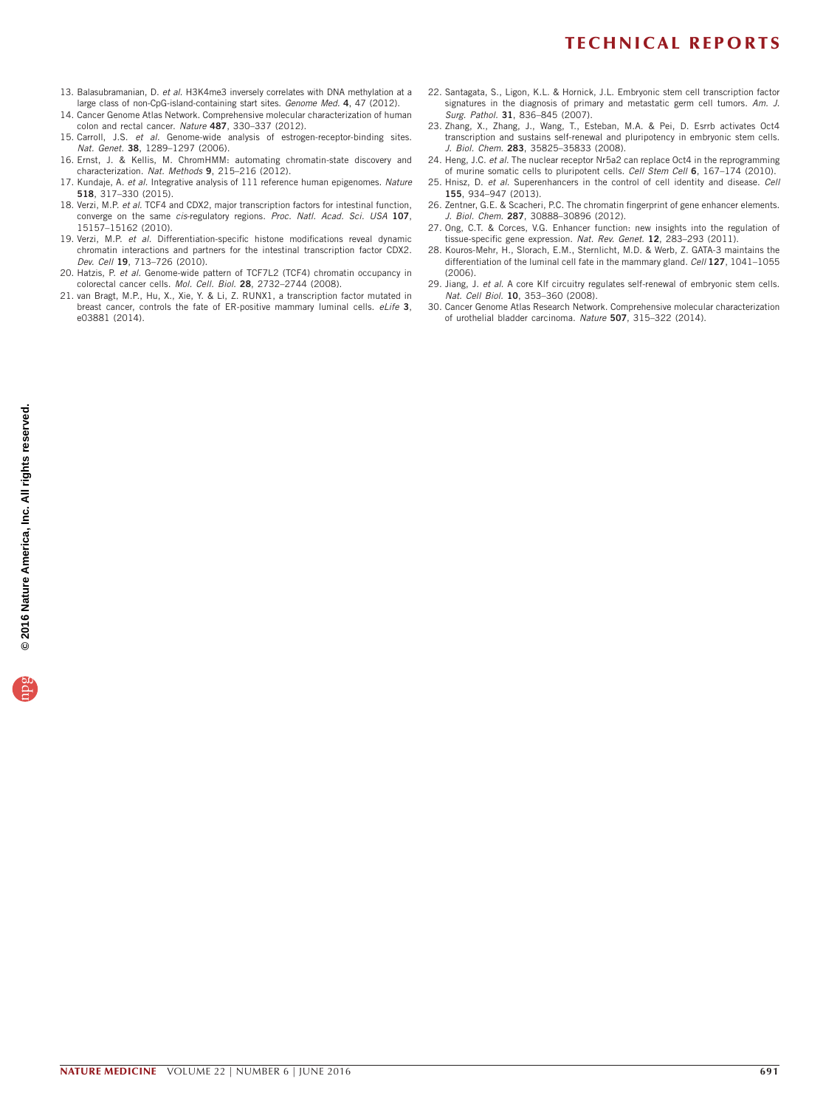- **TECHNICAL REPORTS**
- <span id="page-6-0"></span>13. Balasubramanian, D. *et al.* H3K4me3 inversely correlates with DNA methylation at a large class of non-CpG-island-containing start sites. *Genome Med.* 4, 47 (2012).
- <span id="page-6-1"></span>14. Cancer Genome Atlas Network. Comprehensive molecular characterization of human colon and rectal cancer. *Nature* 487, 330–337 (2012).
- <span id="page-6-2"></span>15. Carroll, J.S. *et al.* Genome-wide analysis of estrogen-receptor-binding sites. *Nat. Genet.* 38, 1289–1297 (2006).
- <span id="page-6-3"></span>16. Ernst, J. & Kellis, M. ChromHMM: automating chromatin-state discovery and characterization. *Nat. Methods* 9, 215–216 (2012).
- <span id="page-6-4"></span>17. Kundaje, A. *et al.* Integrative analysis of 111 reference human epigenomes. *Nature* 518, 317–330 (2015).
- <span id="page-6-5"></span>18. Verzi, M.P. *et al.* TCF4 and CDX2, major transcription factors for intestinal function, converge on the same *cis*-regulatory regions. *Proc. Natl. Acad. Sci. USA* 107, 15157–15162 (2010).
- <span id="page-6-17"></span>19. Verzi, M.P. *et al.* Differentiation-specific histone modifications reveal dynamic chromatin interactions and partners for the intestinal transcription factor CDX2. *Dev. Cell* 19, 713–726 (2010).
- <span id="page-6-6"></span>20. Hatzis, P. *et al.* Genome-wide pattern of TCF7L2 (TCF4) chromatin occupancy in colorectal cancer cells. *Mol. Cell. Biol.* 28, 2732–2744 (2008).
- <span id="page-6-7"></span>21. van Bragt, M.P., Hu, X., Xie, Y. & Li, Z. RUNX1, a transcription factor mutated in breast cancer, controls the fate of ER-positive mammary luminal cells. *eLife* 3, e03881 (2014).
- <span id="page-6-8"></span>22. Santagata, S., Ligon, K.L. & Hornick, J.L. Embryonic stem cell transcription factor signatures in the diagnosis of primary and metastatic germ cell tumors. *Am. J. Surg. Pathol.* 31, 836–845 (2007).
- <span id="page-6-9"></span>23. Zhang, X., Zhang, J., Wang, T., Esteban, M.A. & Pei, D. Esrrb activates Oct4 transcription and sustains self-renewal and pluripotency in embryonic stem cells. *J. Biol. Chem.* 283, 35825–35833 (2008).
- <span id="page-6-10"></span>24. Heng, J.C. *et al.* The nuclear receptor Nr5a2 can replace Oct4 in the reprogramming of murine somatic cells to pluripotent cells. *Cell Stem Cell* 6, 167–174 (2010).
- <span id="page-6-11"></span>25. Hnisz, D. *et al.* Superenhancers in the control of cell identity and disease. *Cell* 155, 934–947 (2013).
- <span id="page-6-12"></span>26. Zentner, G.E. & Scacheri, P.C. The chromatin fingerprint of gene enhancer elements. *J. Biol. Chem.* 287, 30888–30896 (2012).
- <span id="page-6-13"></span>27. Ong, C.T. & Corces, V.G. Enhancer function: new insights into the regulation of tissue-specific gene expression. *Nat. Rev. Genet.* 12, 283–293 (2011).
- <span id="page-6-14"></span>28. Kouros-Mehr, H., Slorach, E.M., Sternlicht, M.D. & Werb, Z. GATA-3 maintains the differentiation of the luminal cell fate in the mammary gland. *Cell* 127, 1041–1055 (2006).
- <span id="page-6-15"></span>29. Jiang, J. *et al.* A core Klf circuitry regulates self-renewal of embryonic stem cells. *Nat. Cell Biol.* 10, 353–360 (2008).
- <span id="page-6-16"></span>30. Cancer Genome Atlas Research Network. Comprehensive molecular characterization of urothelial bladder carcinoma. *Nature* 507, 315–322 (2014).